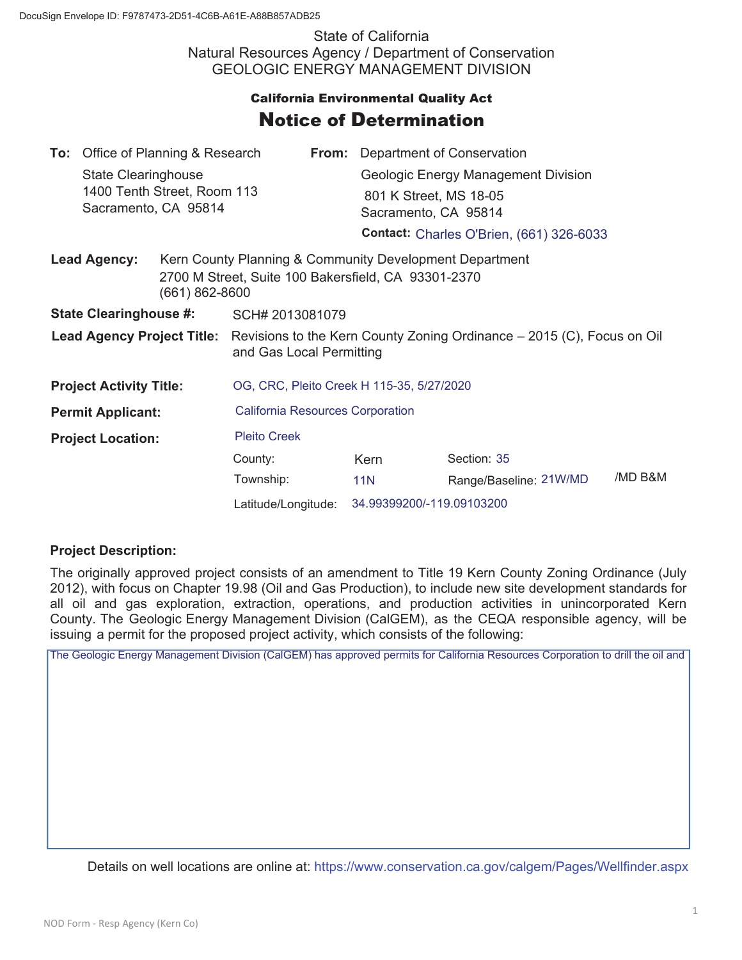State of California Natural Resources Agency / Department of Conservation GEOLOGIC ENERGY MANAGEMENT DIVISION

## **California Environmental Quality Act** Notice of Determination

|                                       | <b>To:</b> Office of Planning & Research           |  |                                                                                                                                      |                                                 | <b>From:</b> Department of Conservation |                        |         |  |
|---------------------------------------|----------------------------------------------------|--|--------------------------------------------------------------------------------------------------------------------------------------|-------------------------------------------------|-----------------------------------------|------------------------|---------|--|
|                                       | State Clearinghouse<br>1400 Tenth Street, Room 113 |  |                                                                                                                                      |                                                 | Geologic Energy Management Division     |                        |         |  |
|                                       |                                                    |  |                                                                                                                                      |                                                 | 801 K Street, MS 18-05                  |                        |         |  |
| Sacramento, CA 95814                  |                                                    |  |                                                                                                                                      | Sacramento, CA 95814                            |                                         |                        |         |  |
|                                       |                                                    |  |                                                                                                                                      | <b>Contact: Charles O'Brien, (661) 326-6033</b> |                                         |                        |         |  |
| <b>Lead Agency:</b><br>(661) 862-8600 |                                                    |  | Kern County Planning & Community Development Department<br>2700 M Street, Suite 100 Bakersfield, CA 93301-2370                       |                                                 |                                         |                        |         |  |
| <b>State Clearinghouse #:</b>         |                                                    |  | SCH# 2013081079                                                                                                                      |                                                 |                                         |                        |         |  |
|                                       |                                                    |  | <b>Lead Agency Project Title:</b> Revisions to the Kern County Zoning Ordinance – 2015 (C), Focus on Oil<br>and Gas Local Permitting |                                                 |                                         |                        |         |  |
| <b>Project Activity Title:</b>        |                                                    |  | OG, CRC, Pleito Creek H 115-35, 5/27/2020                                                                                            |                                                 |                                         |                        |         |  |
| <b>Permit Applicant:</b>              |                                                    |  | <b>California Resources Corporation</b>                                                                                              |                                                 |                                         |                        |         |  |
| <b>Project Location:</b>              |                                                    |  | <b>Pleito Creek</b>                                                                                                                  |                                                 |                                         |                        |         |  |
|                                       |                                                    |  | County:                                                                                                                              |                                                 | Kern                                    | Section: 35            |         |  |
|                                       |                                                    |  | Township:                                                                                                                            |                                                 | <b>11N</b>                              | Range/Baseline: 21W/MD | /MD B&M |  |
|                                       |                                                    |  | Latitude/Longitude:                                                                                                                  |                                                 | 34.99399200/-119.09103200               |                        |         |  |

## **Project Description:**

The originally approved project consists of an amendment to Title 19 Kern County Zoning Ordinance (July 2012), with focus on Chapter 19.98 (Oil and Gas Production), to include new site development standards for all oil and gas exploration, extraction, operations, and production activities in unincorporated Kern County. The Geologic Energy Management Division (CalGEM), as the CEQA responsible agency, will be issuing a permit for the proposed project activity, which consists of the following:

The Geologic Energy Management Division (CalGEM) has approved permits for California Resources Corporation to drill the oil and

Details on well locations are online at: https://www.conservation.ca.gov/calgem/Pages/Wellfinder.aspx